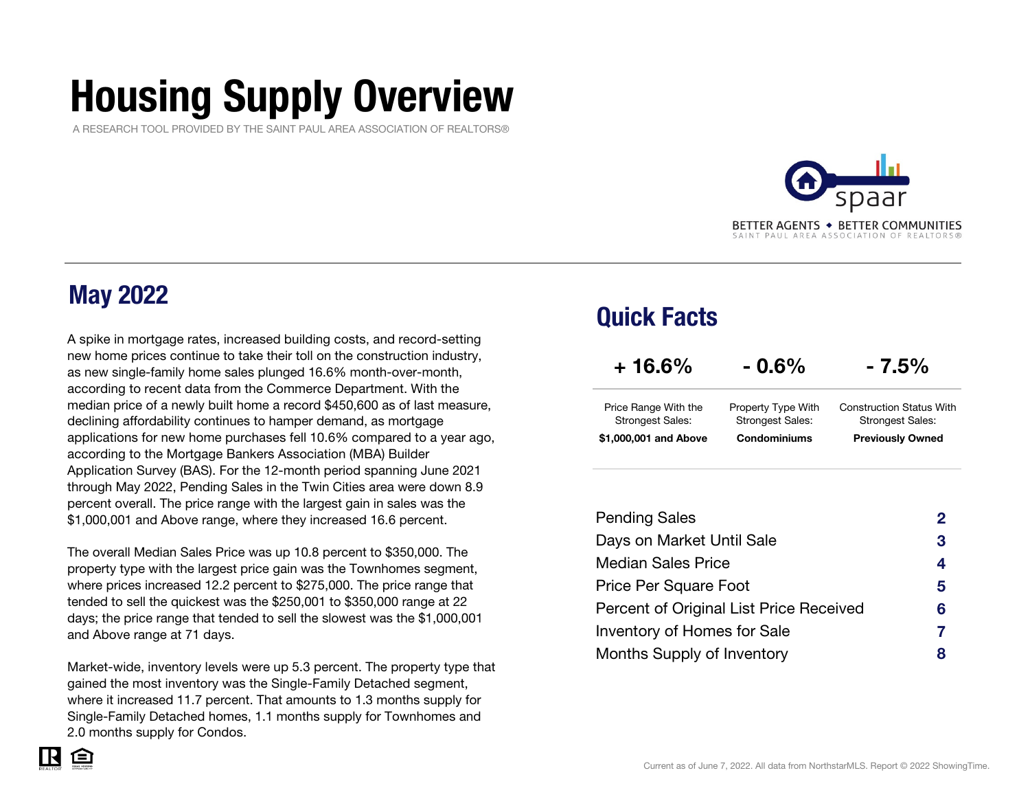# Housing Supply Overview

A RESEARCH TOOL PROVIDED BY THE SAINT PAUL AREA ASSOCIATION OF REALTORS®



### May 2022

A spike in mortgage rates, increased building costs, and record-setting new home prices continue to take their toll on the construction industry, as new single-family home sales plunged 16.6% month-over-month, according to recent data from the Commerce Department. With the median price of a newly built home a record \$450,600 as of last measure, declining affordability continues to hamper demand, as mortgage applications for new home purchases fell 10.6% compared to a year ago, according to the Mortgage Bankers Association (MBA) Builder Application Survey (BAS). For the 12-month period spanning June <sup>2021</sup> through May 2022, Pending Sales in the Twin Cities area were down 8.9 percent overall. The price range with the largest gain in sales was the \$1,000,001 and Above range, where they increased 16.6 percent.

The overall Median Sales Price was up 10.8 percent to \$350,000. The property type with the largest price gain was the Townhomes segment, where prices increased 12.2 percent to \$275,000. The price range that tended to sell the quickest was the \$250,001 to \$350,000 range at 22 days; the price range that tended to sell the slowest was the \$1,000,001 and Above range at 71 days.

Market-wide, inventory levels were up 5.3 percent. The property type that gained the most inventory was the Single-Family Detached segment, where it increased 11.7 percent. That amounts to 1.3 months supply for Single-Family Detached homes, 1.1 months supply for Townhomes and 2.0 months supply for Condos.

### Quick Facts

| $+16.6%$                                        | $-0.6\%$                                      | $-7.5\%$                                                   |
|-------------------------------------------------|-----------------------------------------------|------------------------------------------------------------|
| Price Range With the<br><b>Strongest Sales:</b> | Property Type With<br><b>Strongest Sales:</b> | <b>Construction Status With</b><br><b>Strongest Sales:</b> |
| \$1,000,001 and Above                           | Condominiums                                  | <b>Previously Owned</b>                                    |

| <b>Pending Sales</b>                    |   |
|-----------------------------------------|---|
| Days on Market Until Sale               | 3 |
| <b>Median Sales Price</b>               | 4 |
| Price Per Square Foot                   | 5 |
| Percent of Original List Price Received | 6 |
| Inventory of Homes for Sale             |   |
| Months Supply of Inventory              |   |

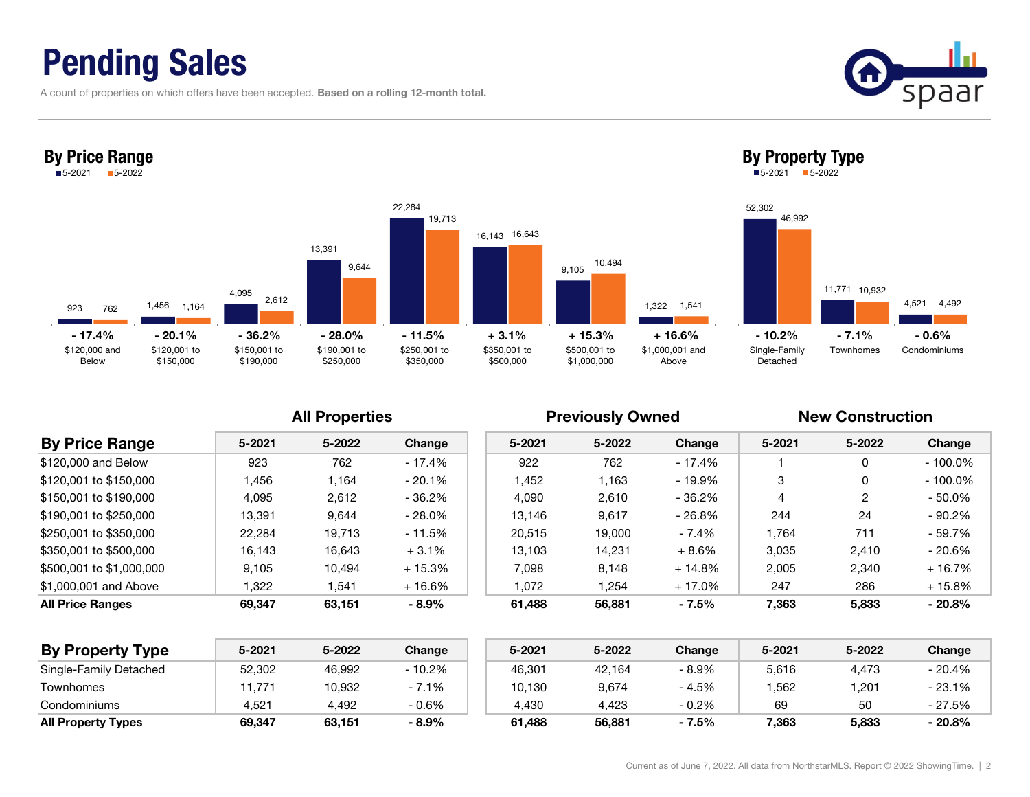## Pending Sales

By Price Range

A count of properties on which offers have been accepted. Based on a rolling 12-month total.

9233 <sub>762</sub> 1,456 4,095 13,391 22,284 16,143 9,105 1,322 762 1,164 2,612 9,644 19,713 16,643 10,494 1,541 \$120,000 and Below\$120,001 to \$150,000 \$150,001 to \$190,000 \$190,001 to \$250,000 \$250,001 to \$350,000 \$350,001 to \$500,000 \$500,001 to \$1,000,000 \$1,000,001 and Above5-2021 5-2022 - 17.4% - 20.1% - 36.2% - 28.0% - 11.5%+ 3.1% + 15.3% + 16.6% - 10.2% - 7.1% - 0.6%

### All Properties **All Properties** Previously Owned New Construction

| <b>By Price Range</b>    | $5 - 2021$ | 5-2022 | Change    | $5 - 2021$ | 5-2022 | Change    | $5 - 2021$ | 5-2022 | Change     |
|--------------------------|------------|--------|-----------|------------|--------|-----------|------------|--------|------------|
| \$120,000 and Below      | 923        | 762    | - 17.4%   | 922        | 762    | - 17.4%   |            | 0      | $-100.0\%$ |
| \$120,001 to \$150,000   | 1,456      | 1.164  | $-20.1\%$ | 1.452      | 1.163  | - 19.9%   | 3          | 0      | - 100.0%   |
| \$150,001 to \$190,000   | 4,095      | 2,612  | - 36.2%   | 4.090      | 2,610  | - 36.2%   | 4          | 2      | $-50.0\%$  |
| \$190,001 to \$250,000   | 13.391     | 9.644  | $-28.0\%$ | 13.146     | 9.617  | - 26.8%   | 244        | 24     | - 90.2%    |
| \$250,001 to \$350,000   | 22,284     | 19.713 | - 11.5%   | 20.515     | 19,000 | $-7.4%$   | 1.764      | 711    | - 59.7%    |
| \$350,001 to \$500,000   | 16.143     | 16.643 | $+3.1%$   | 13.103     | 14.231 | $+8.6\%$  | 3.035      | 2,410  | - 20.6%    |
| \$500,001 to \$1,000,000 | 9.105      | 10.494 | $+15.3%$  | 7.098      | 8.148  | $+14.8\%$ | 2.005      | 2,340  | $+16.7%$   |
| \$1,000,001 and Above    | 322        | 1,541  | $+16.6\%$ | 1.072      | .254   | + 17.0%   | 247        | 286    | $+15.8%$   |
| <b>All Price Ranges</b>  | 69.347     | 63,151 | $-8.9%$   | 61.488     | 56,881 | $-7.5%$   | 7,363      | 5,833  | $-20.8%$   |

| <b>By Property Type</b>   | 5-2021 | 5-2022 | Change  | 5-2021 | 5-2022 | Change  | 5-2021 | 5-2022 | Change    |
|---------------------------|--------|--------|---------|--------|--------|---------|--------|--------|-----------|
| Single-Family Detached    | 52,302 | 46,992 | - 10.2% | 46,301 | 42,164 | $-8.9%$ | 5,616  | 4,473  | - 20.4%   |
| Townhomes                 | 11.771 | 10,932 | $-7.1%$ | 10,130 | 9,674  | $-4.5%$ | .562   | 201.   | - 23.1%   |
| Condominiums              | 4.521  | 4,492  | $-0.6%$ | 4.430  | 4.423  | $-0.2%$ | 69     | 50     | - 27.5%   |
| <b>All Property Types</b> | 69.347 | 63.151 | $-8.9%$ | 61.488 | 56,881 | $-7.5%$ | 7.363  | 5.833  | $-20.8\%$ |

| 923           | 1,456        | 4,095        | 13,391       | 22,284       | 16,643       | 10,494       | 1,541           |
|---------------|--------------|--------------|--------------|--------------|--------------|--------------|-----------------|
| 762           | 1,164        | 2,612        | 9,644        | 19,713       | 16,143       | 9,105        | 1,322           |
| - 17.4%       | $-20.1%$     | $-36.2%$     | $-28.0\%$    | $-11.5%$     | $+3.1%$      | $+15.3%$     | $+16.6%$        |
| \$120,000 and | \$120,001 to | \$150,001 to | \$190,001 to | \$250,001 to | \$350,001 to | \$500,001 to | \$1,000,001 and |



By Property Type 5-2021 5-2022

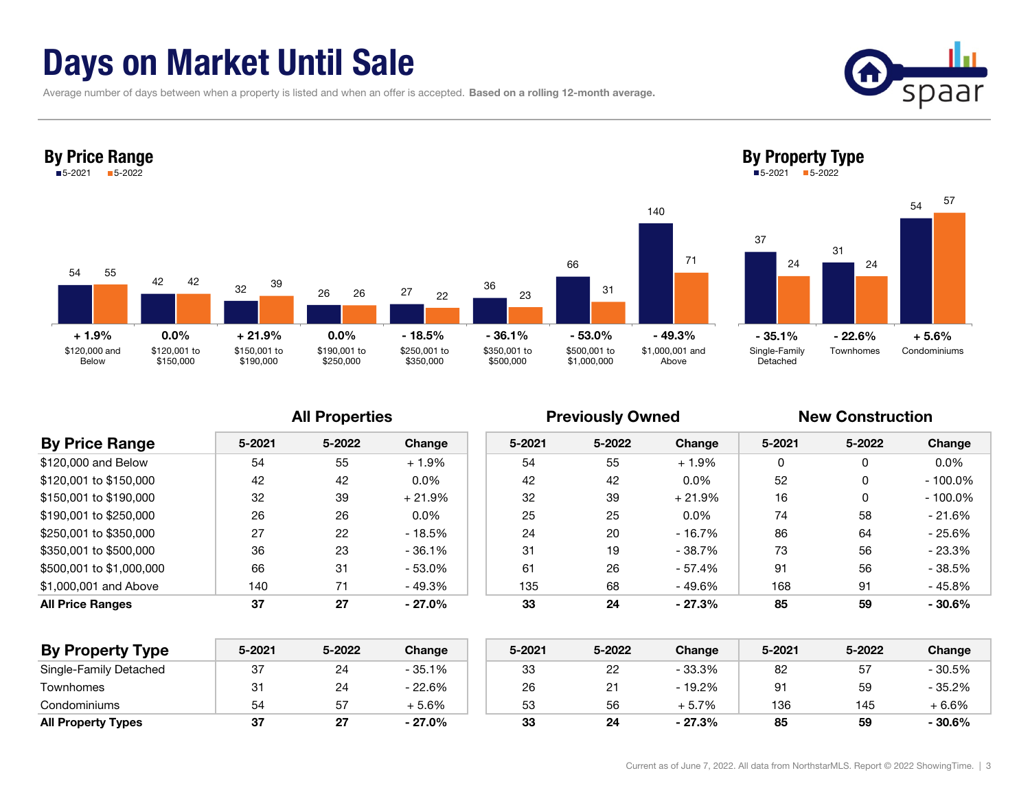## Days on Market Until Sale

Average number of days between when a property is listed and when an offer is accepted. Based on a rolling 12-month average.





|                          |            | <b>All Properties</b> |           |        | <b>Previously Owned</b> |          | <b>New Construction</b> |        |            |
|--------------------------|------------|-----------------------|-----------|--------|-------------------------|----------|-------------------------|--------|------------|
| <b>By Price Range</b>    | $5 - 2021$ | 5-2022                | Change    | 5-2021 | 5-2022                  | Change   | 5-2021                  | 5-2022 | Change     |
| \$120,000 and Below      | 54         | 55                    | $+1.9%$   | 54     | 55                      | $+1.9%$  | 0                       | 0      | $0.0\%$    |
| \$120,001 to \$150,000   | 42         | 42                    | $0.0\%$   | 42     | 42                      | $0.0\%$  | 52                      | 0      | $-100.0\%$ |
| \$150,001 to \$190,000   | 32         | 39                    | $+21.9%$  | 32     | 39                      | $+21.9%$ | 16                      | 0      | $-100.0\%$ |
| \$190,001 to \$250,000   | 26         | 26                    | $0.0\%$   | 25     | 25                      | $0.0\%$  | 74                      | 58     | $-21.6%$   |
| \$250,001 to \$350,000   | 27         | 22                    | - 18.5%   | 24     | 20                      | - 16.7%  | 86                      | 64     | $-25.6%$   |
| \$350,001 to \$500,000   | 36         | 23                    | $-36.1\%$ | 31     | 19                      | - 38.7%  | 73                      | 56     | $-23.3%$   |
| \$500,001 to \$1,000,000 | 66         | 31                    | $-53.0\%$ | 61     | 26                      | - 57.4%  | 91                      | 56     | - 38.5%    |
| \$1,000,001 and Above    | 140        | 71                    | - 49.3%   | 135    | 68                      | - 49.6%  | 168                     | 91     | - 45.8%    |
| <b>All Price Ranges</b>  | 37         | 27                    | $-27.0%$  | 33     | 24                      | $-27.3%$ | 85                      | 59     | $-30.6%$   |

| <b>By Property Type</b>   | $5 - 2021$ | 5-2022 | Change   | $5 - 2021$ | 5-2022 | Change   | 5-2021 | 5-2022 | Change  |
|---------------------------|------------|--------|----------|------------|--------|----------|--------|--------|---------|
| Single-Family Detached    | 37         | 24     | - 35.1%  | 33         | 22     | - 33.3%  | 82     | 51     | - 30.5% |
| Townhomes                 | 31         | 24     | - 22.6%  | 26         |        | $-19.2%$ | 91     | 59     | - 35.2% |
| Condominiums              | 54         | 57     | $+5.6%$  | 53         | 56     | $+5.7%$  | 136    | 145    | $+6.6%$ |
| <b>All Property Types</b> | 37         | 27     | $-27.0%$ | 33         | 24     | - 27.3%  | 85     | 59     | - 30.6% |

Current as of June 7, 2022. All data from NorthstarMLS. Report © 2022 ShowingTime. | 3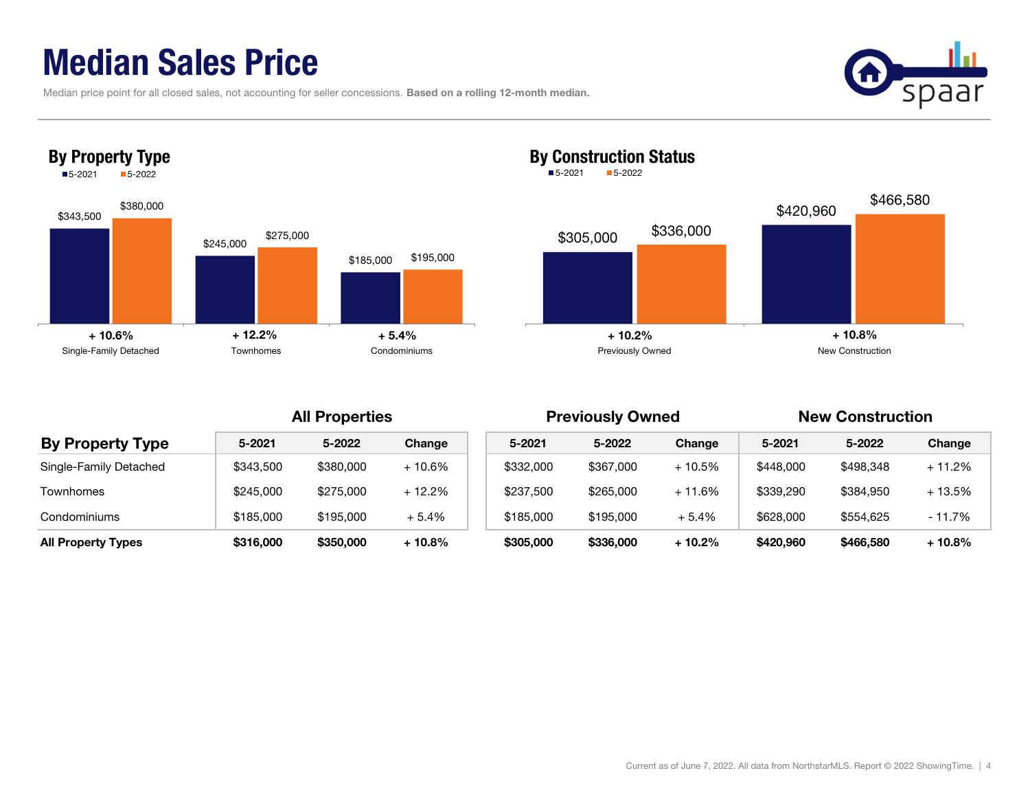## Median Sales Price

|  | Median price point for all closed sales, not accounting for seller concessions. Based on a rolling 12-month median. |  |  |
|--|---------------------------------------------------------------------------------------------------------------------|--|--|
|  |                                                                                                                     |  |  |







### By Construction Status ■5-2021 5-2022

| Change   |
|----------|
| $+10.6%$ |
| $+12.2%$ |
| $+5.4%$  |
| $+10.8%$ |
|          |

|                           | <b>All Properties</b> |           |          |  |           | <b>Previously Owned</b> |          | <b>New Construction</b> |           |          |
|---------------------------|-----------------------|-----------|----------|--|-----------|-------------------------|----------|-------------------------|-----------|----------|
| <b>By Property Type</b>   | 5-2021                | 5-2022    | Change   |  | 5-2021    | 5-2022                  | Change   | 5-2021                  | 5-2022    | Change   |
| Single-Family Detached    | \$343,500             | \$380,000 | $+10.6%$ |  | \$332,000 | \$367,000               | $+10.5%$ | \$448,000               | \$498,348 | $+11.2%$ |
| Townhomes                 | \$245,000             | \$275,000 | $+12.2%$ |  | \$237,500 | \$265,000               | $+11.6%$ | \$339,290               | \$384.950 | $+13.5%$ |
| Condominiums              | \$185,000             | \$195,000 | $+5.4%$  |  | \$185,000 | \$195,000               | $+5.4%$  | \$628,000               | \$554,625 | $-11.7%$ |
| <b>All Property Types</b> | \$316,000             | \$350,000 | $+10.8%$ |  | \$305,000 | \$336,000               | $+10.2%$ | \$420,960               | \$466,580 | $+10.8%$ |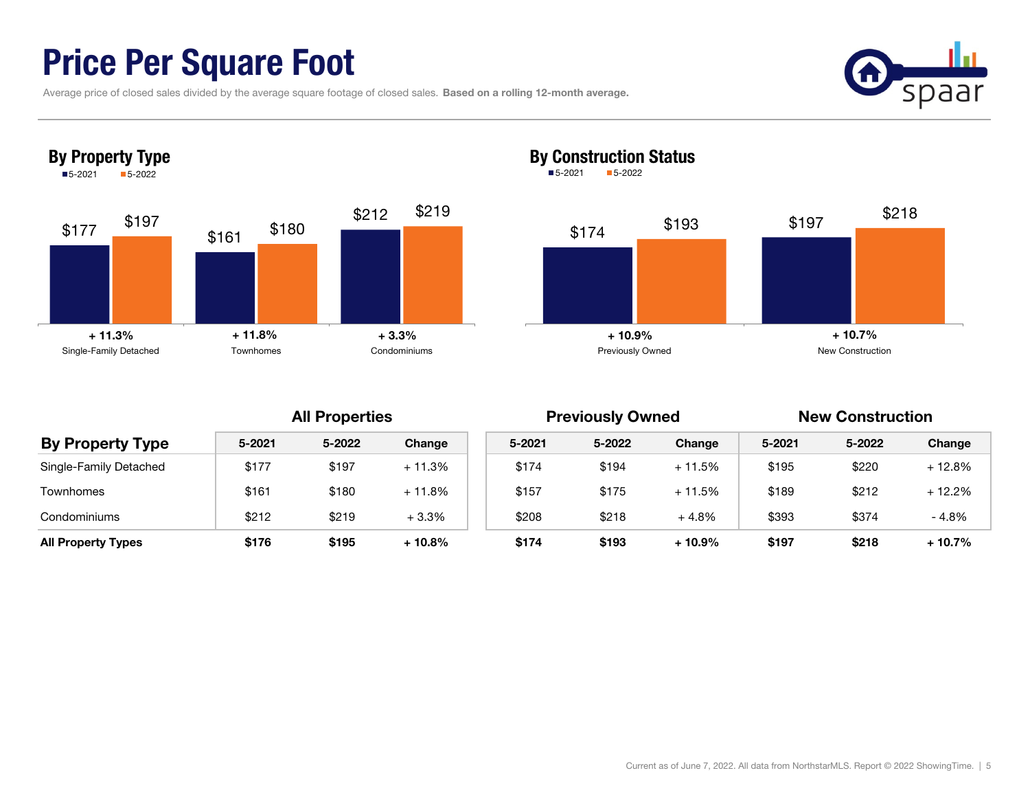## Price Per Square Foot

|  |  |  | Average price of closed sales divided by the average square footage of closed sales. Based on a rolling 12-month average. |
|--|--|--|---------------------------------------------------------------------------------------------------------------------------|
|--|--|--|---------------------------------------------------------------------------------------------------------------------------|







### By Construction Status ■5-2021 5-2022

| <b>By Property Type</b>   |            | <b>All Properties</b> |          |        | <b>Previously Owned</b> |          | <b>New Construction</b> |        |          |
|---------------------------|------------|-----------------------|----------|--------|-------------------------|----------|-------------------------|--------|----------|
|                           | $5 - 2021$ | 5-2022                | Change   | 5-2021 | 5-2022                  | Change   | 5-2021                  | 5-2022 | Change   |
| Single-Family Detached    | \$177      | \$197                 | $+11.3%$ | \$174  | \$194                   | $+11.5%$ | \$195                   | \$220  | $+12.8%$ |
| <b>Townhomes</b>          | \$161      | \$180                 | $+11.8%$ | \$157  | \$175                   | $+11.5%$ | \$189                   | \$212  | $+12.2%$ |
| Condominiums              | \$212      | \$219                 | $+3.3%$  | \$208  | \$218                   | $+4.8%$  | \$393                   | \$374  | $-4.8%$  |
| <b>All Property Types</b> | \$176      | \$195                 | $+10.8%$ | \$174  | \$193                   | $+10.9%$ | \$197                   | \$218  | $+10.7%$ |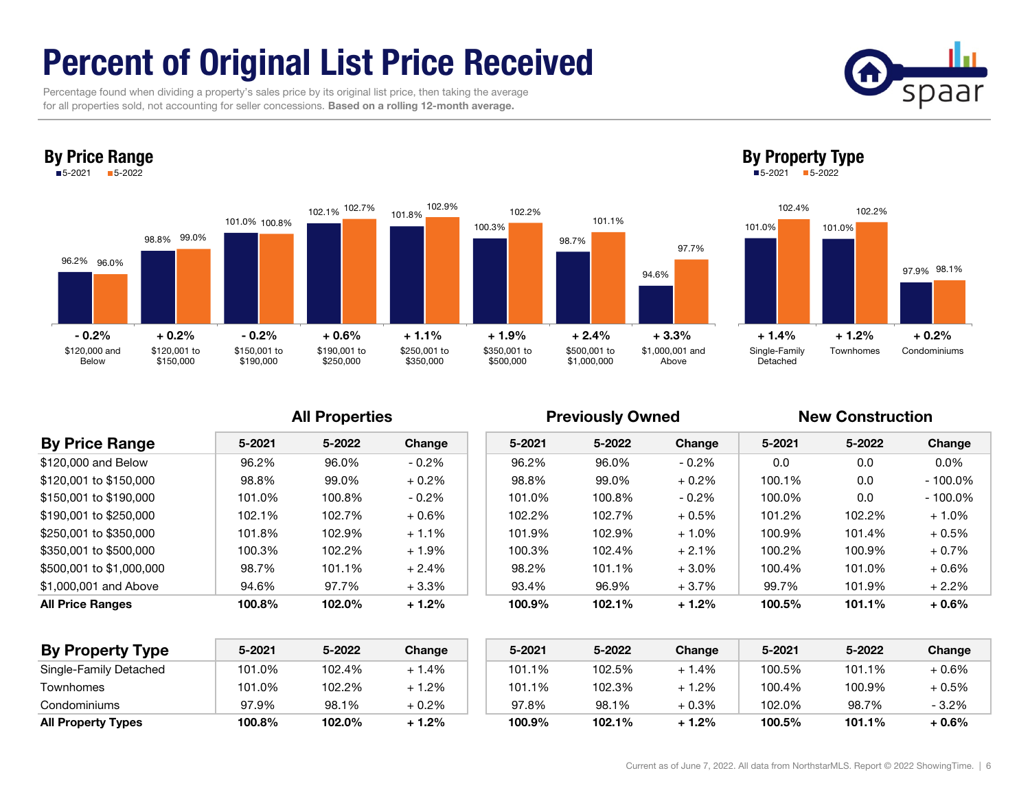# Percent of Original List Price Received

 Percentage found when dividing a property's sales price by its original list price, then taking the average for all properties sold, not accounting for seller concessions. Based on a rolling 12-month average.

By Price Range





### By Property Type

5-2021 5-2022



### All Properties **All Properties** Previously Owned New Construction

| <b>By Price Range</b>    | 5-2021 | 5-2022 | Change   | 5-2021 | 5-2022 | Change   | 5-2021 | 5-2022 | Change     |
|--------------------------|--------|--------|----------|--------|--------|----------|--------|--------|------------|
| \$120,000 and Below      | 96.2%  | 96.0%  | $-0.2\%$ | 96.2%  | 96.0%  | $-0.2\%$ | 0.0    | 0.0    | $0.0\%$    |
| \$120,001 to \$150,000   | 98.8%  | 99.0%  | $+0.2\%$ | 98.8%  | 99.0%  | $+0.2%$  | 100.1% | 0.0    | $-100.0\%$ |
| \$150,001 to \$190,000   | 101.0% | 100.8% | $-0.2\%$ | 101.0% | 100.8% | $-0.2\%$ | 100.0% | 0.0    | $-100.0\%$ |
| \$190,001 to \$250,000   | 102.1% | 102.7% | $+0.6\%$ | 102.2% | 102.7% | $+0.5\%$ | 101.2% | 102.2% | $+1.0\%$   |
| \$250,001 to \$350,000   | 101.8% | 102.9% | $+1.1%$  | 101.9% | 102.9% | $+1.0\%$ | 100.9% | 101.4% | $+0.5\%$   |
| \$350,001 to \$500,000   | 100.3% | 102.2% | $+1.9\%$ | 100.3% | 102.4% | $+2.1%$  | 100.2% | 100.9% | $+0.7\%$   |
| \$500,001 to \$1,000,000 | 98.7%  | 101.1% | $+2.4%$  | 98.2%  | 101.1% | $+3.0%$  | 100.4% | 101.0% | $+0.6%$    |
| \$1,000,001 and Above    | 94.6%  | 97.7%  | $+3.3%$  | 93.4%  | 96.9%  | $+3.7%$  | 99.7%  | 101.9% | $+2.2%$    |
| <b>All Price Ranges</b>  | 100.8% | 102.0% | $+1.2%$  | 100.9% | 102.1% | $+1.2%$  | 100.5% | 101.1% | $+0.6%$    |

| <b>By Property Type</b>   | 5-2021 | 5-2022 | Change  | 5-2021 | 5-2022 | Change        | 5-2021 | 5-2022 | Change  |
|---------------------------|--------|--------|---------|--------|--------|---------------|--------|--------|---------|
| Single-Family Detached    | 101.0% | 102.4% | $+1.4%$ | 101.1% | 102.5% | $.4\%$        | 100.5% | 101.1% | $+0.6%$ |
| Townhomes                 | 101.0% | 102.2% | $+1.2%$ | 101.1% | 102.3% | $.2\%$<br>⊥ 1 | 100.4% | 100.9% | $+0.5%$ |
| Condominiums              | 97.9%  | 98.1%  | + 0.2%  | 97.8%  | 98.1%  | $+0.3%$       | 102.0% | 98.7%  | $-3.2%$ |
| <b>All Property Types</b> | 100.8% | 102.0% | $+1.2%$ | 100.9% | 102.1% | $+1.2%$       | 100.5% | 101.1% | $+0.6%$ |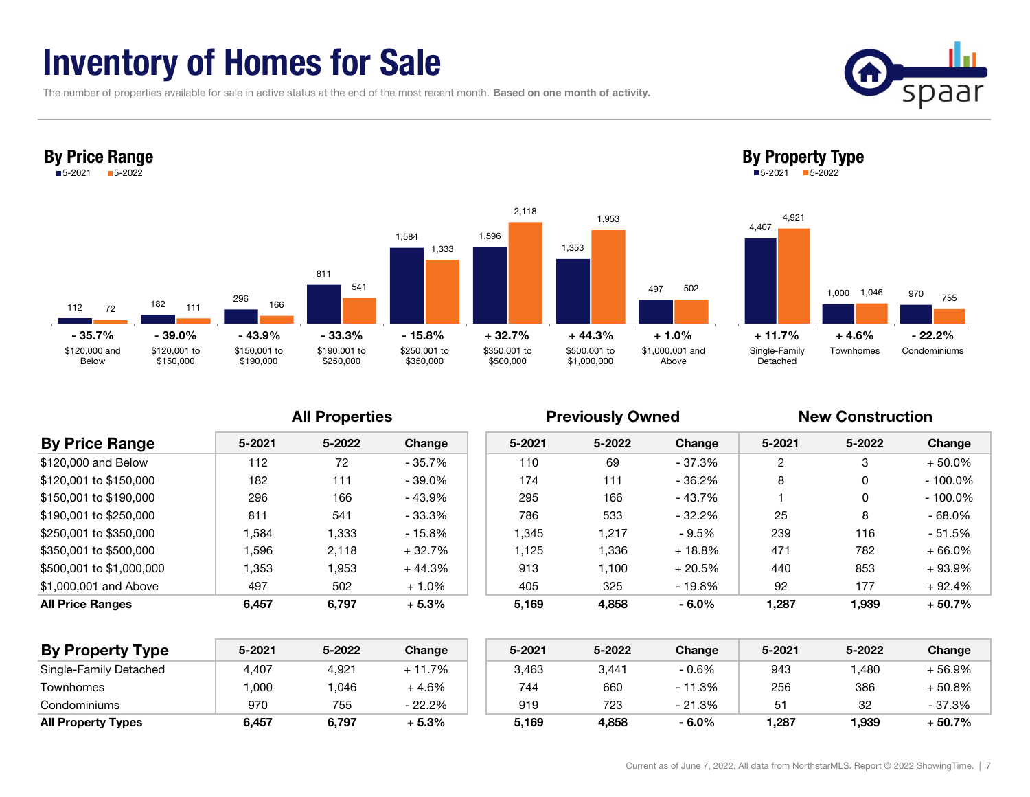## Inventory of Homes for Sale

The number of properties available for sale in active status at the end of the most recent month. Based on one month of activity.



| <b>By Price Range</b>    |        | <b>All Properties</b> |           |        | <b>Previously Owned</b> |           | <b>New Construction</b> |        |            |  |
|--------------------------|--------|-----------------------|-----------|--------|-------------------------|-----------|-------------------------|--------|------------|--|
|                          | 5-2021 | 5-2022                | Change    | 5-2021 | 5-2022                  | Change    | 5-2021                  | 5-2022 | Change     |  |
| \$120,000 and Below      | 112    | 72                    | $-35.7\%$ | 110    | 69                      | $-37.3%$  | 2                       |        | $+50.0\%$  |  |
| \$120,001 to \$150,000   | 182    | 111                   | $-39.0\%$ | 174    | 111                     | $-36.2%$  | 8                       |        | $-100.0\%$ |  |
| \$150,001 to \$190,000   | 296    | 166                   | - 43.9%   | 295    | 166                     | - 43.7%   |                         |        | $-100.0\%$ |  |
| \$190,001 to \$250,000   | 811    | 541                   | $-33.3%$  | 786    | 533                     | $-32.2%$  | 25                      | 8      | $-68.0%$   |  |
| \$250,001 to \$350,000   | 1.584  | 1,333                 | $-15.8%$  | 1,345  | 1.217                   | - 9.5%    | 239                     | 116    | - 51.5%    |  |
| \$350,001 to \$500,000   | 1.596  | 2.118                 | $+32.7%$  | 1.125  | 1.336                   | $+18.8\%$ | 471                     | 782    | $+66.0\%$  |  |
| \$500,001 to \$1,000,000 | 1,353  | 1,953                 | $+44.3%$  | 913    | 1.100                   | $+20.5%$  | 440                     | 853    | $+93.9%$   |  |
| \$1,000,001 and Above    | 497    | 502                   | $+1.0\%$  | 405    | 325                     | $-19.8%$  | 92                      | 177    | $+92.4%$   |  |
| <b>All Price Ranges</b>  | 6,457  | 6,797                 | $+5.3%$   | 5,169  | 4,858                   | $-6.0%$   | 1,287                   | 1,939  | $+50.7%$   |  |

| <b>By Property Type</b>   | 5-2021 | 5-2022 | Change   | 5-2021 | 5-2022 | Change  | 5-2021 | 5-2022 | Change  |
|---------------------------|--------|--------|----------|--------|--------|---------|--------|--------|---------|
| Single-Family Detached    | 4,407  | 4,921  | $+11.7%$ | 3,463  | 3,441  | - 0.6%  | 943    | ,480   | + 56.9% |
| Townhomes                 | ,000   | ,046   | -4.6%    | 744    | 660    | - 11.3% | 256    | 386    | + 50.8% |
| Condominiums              | 970    | 755    | - 22.2%  | 919    | 723    | - 21.3% | 51     | 32     | - 37.3% |
| <b>All Property Types</b> | 6,457  | 6,797  | + 5.3%   | 5.169  | 4,858  | $-6.0%$ | .287   | 1,939  | + 50.7% |

Townhomes Condominiums